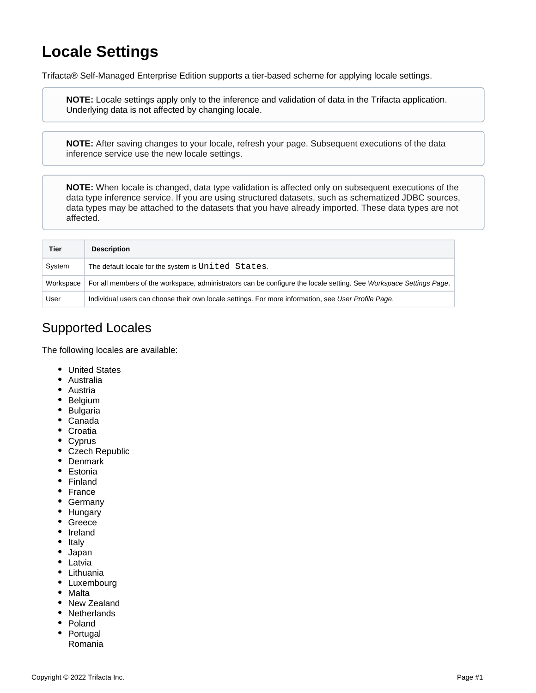## **Locale Settings**

Trifacta® Self-Managed Enterprise Edition supports a tier-based scheme for applying locale settings.

**NOTE:** Locale settings apply only to the inference and validation of data in the Trifacta application. Underlying data is not affected by changing locale.

**NOTE:** After saving changes to your locale, refresh your page. Subsequent executions of the data inference service use the new locale settings.

**NOTE:** When locale is changed, data type validation is affected only on subsequent executions of the data type inference service. If you are using structured datasets, such as schematized JDBC sources, data types may be attached to the datasets that you have already imported. These data types are not affected.

| Tier      | <b>Description</b>                                                                                                 |
|-----------|--------------------------------------------------------------------------------------------------------------------|
| System    | The default locale for the system is United States.                                                                |
| Workspace | For all members of the workspace, administrators can be configure the locale setting. See Workspace Settings Page. |
| User      | Individual users can choose their own locale settings. For more information, see User Profile Page.                |

## Supported Locales

The following locales are available:

- United States
- Australia
- **Austria**
- Belgium
- Bulgaria
- Canada
- Croatia
- Cyprus
- Czech Republic
- Denmark
- Estonia
- Finland
- France
- Germany
- Hungary
- Greece
- Ireland
- Italy
- Japan
- Latvia
- Lithuania
- Luxembourg
- Malta
- New Zealand
- Netherlands
- Poland
- Portugal Romania